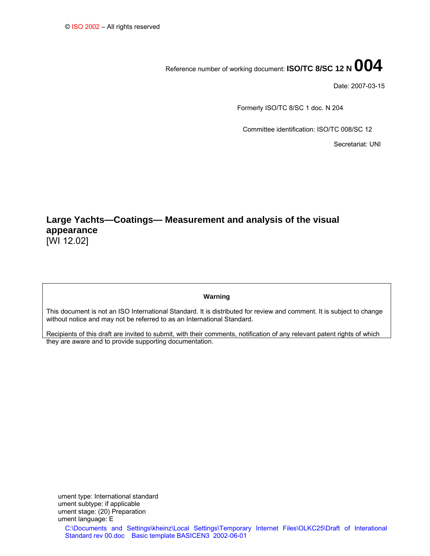# Reference number of working document: **ISO/TC 8/SC 12 N 004**

Date: 2007-03-15

Formerly ISO/TC 8/SC 1 doc. N 204

Committee identification: ISO/TC 008/SC 12

Secretariat: UNI

# **Large Yachts—Coatings— Measurement and analysis of the visual appearance**  [WI 12.02]

#### **Warning**

This document is not an ISO International Standard. It is distributed for review and comment. It is subject to change without notice and may not be referred to as an International Standard.

Recipients of this draft are invited to submit, with their comments, notification of any relevant patent rights of which they are aware and to provide supporting documentation.

C:\Documents and Settings\kheinz\Local Settings\Temporary Internet Files\OLKC25\Draft of Interational Standard rev 00.doc Basic template BASICEN3 2002-06-01 ument type: International standard ument subtype: if applicable ument stage: (20) Preparation ument language: E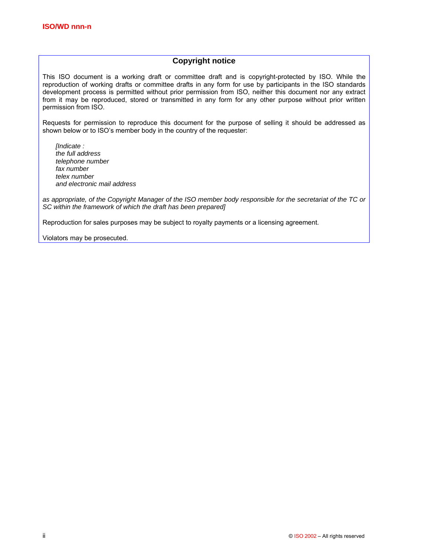### **Copyright notice**

This ISO document is a working draft or committee draft and is copyright-protected by ISO. While the reproduction of working drafts or committee drafts in any form for use by participants in the ISO standards development process is permitted without prior permission from ISO, neither this document nor any extract from it may be reproduced, stored or transmitted in any form for any other purpose without prior written permission from ISO.

Requests for permission to reproduce this document for the purpose of selling it should be addressed as shown below or to ISO's member body in the country of the requester:

*[Indicate : the full address telephone number fax number telex number and electronic mail address* 

*as appropriate, of the Copyright Manager of the ISO member body responsible for the secretariat of the TC or SC within the framework of which the draft has been prepared]* 

Reproduction for sales purposes may be subject to royalty payments or a licensing agreement.

Violators may be prosecuted.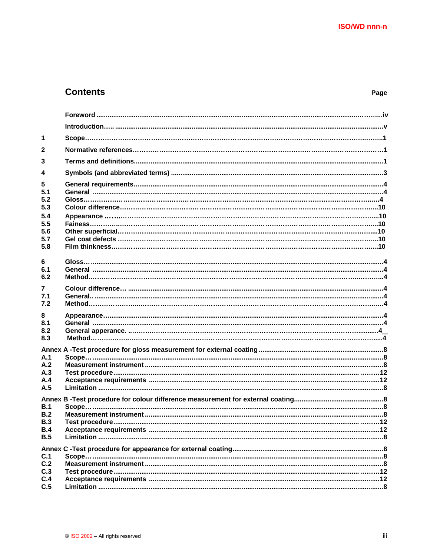# **Contents**

| $\mathbf 1$    |                 |  |
|----------------|-----------------|--|
| $\overline{2}$ |                 |  |
| 3              |                 |  |
| 4              |                 |  |
| 5              |                 |  |
| 5.1            |                 |  |
| 5.2            |                 |  |
| 5.3            |                 |  |
| 5.4            |                 |  |
| 5.5<br>5.6     |                 |  |
| 5.7            |                 |  |
| 5.8            |                 |  |
|                |                 |  |
| 6              |                 |  |
| 6.1            |                 |  |
| 6.2            |                 |  |
| 7              |                 |  |
| 7.1            |                 |  |
| 7.2            |                 |  |
| 8              |                 |  |
| 8.1            |                 |  |
| 8.2<br>8.3     |                 |  |
|                |                 |  |
|                |                 |  |
| A.1            |                 |  |
| A.2<br>A.3     |                 |  |
| A.4            |                 |  |
| A.5            |                 |  |
|                |                 |  |
| B.1            |                 |  |
| B.2            |                 |  |
| B.3            | Test procedure. |  |
| <b>B.4</b>     |                 |  |
| B.5            |                 |  |
|                |                 |  |
| C.1            |                 |  |
| C.2            |                 |  |
| C.3<br>C.4     |                 |  |
| C.5            |                 |  |
|                |                 |  |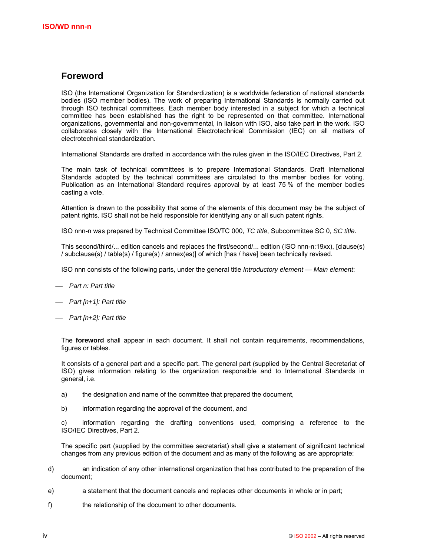# **Foreword**

ISO (the International Organization for Standardization) is a worldwide federation of national standards bodies (ISO member bodies). The work of preparing International Standards is normally carried out through ISO technical committees. Each member body interested in a subject for which a technical committee has been established has the right to be represented on that committee. International organizations, governmental and non-governmental, in liaison with ISO, also take part in the work. ISO collaborates closely with the International Electrotechnical Commission (IEC) on all matters of electrotechnical standardization.

International Standards are drafted in accordance with the rules given in the ISO/IEC Directives, Part 2.

The main task of technical committees is to prepare International Standards. Draft International Standards adopted by the technical committees are circulated to the member bodies for voting. Publication as an International Standard requires approval by at least 75 % of the member bodies casting a vote.

Attention is drawn to the possibility that some of the elements of this document may be the subject of patent rights. ISO shall not be held responsible for identifying any or all such patent rights.

ISO nnn-n was prepared by Technical Committee ISO/TC 000, *TC title*, Subcommittee SC 0, *SC title*.

This second/third/... edition cancels and replaces the first/second/... edition (ISO nnn-n:19xx), [clause(s) / subclause(s) / table(s) / figure(s) / annex(es)] of which [has / have] been technically revised.

ISO nnn consists of the following parts, under the general title *Introductory element — Main element*:

- ⎯ *Part n: Part title*
- ⎯ *Part [n+1]: Part title*
- ⎯ *Part [n+2]: Part title*

The **foreword** shall appear in each document. It shall not contain requirements, recommendations, figures or tables.

It consists of a general part and a specific part. The general part (supplied by the Central Secretariat of ISO) gives information relating to the organization responsible and to International Standards in general, i.e.

- a) the designation and name of the committee that prepared the document,
- b) information regarding the approval of the document, and

c) information regarding the drafting conventions used, comprising a reference to the ISO/IEC Directives, Part 2.

The specific part (supplied by the committee secretariat) shall give a statement of significant technical changes from any previous edition of the document and as many of the following as are appropriate:

- d) an indication of any other international organization that has contributed to the preparation of the document;
- e) a statement that the document cancels and replaces other documents in whole or in part;
- f) the relationship of the document to other documents.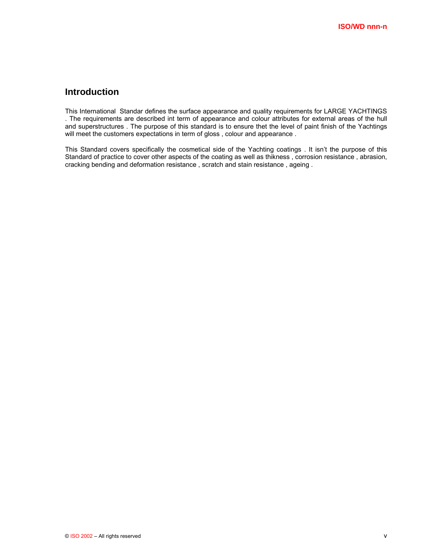# **Introduction**

This International Standar defines the surface appearance and quality requirements for LARGE YACHTINGS . The requirements are described int term of appearance and colour attributes for external areas of the hull and superstructures . The purpose of this standard is to ensure thet the level of paint finish of the Yachtings will meet the customers expectations in term of gloss, colour and appearance.

This Standard covers specifically the cosmetical side of the Yachting coatings . It isn't the purpose of this Standard of practice to cover other aspects of the coating as well as thikness , corrosion resistance , abrasion, cracking bending and deformation resistance , scratch and stain resistance , ageing .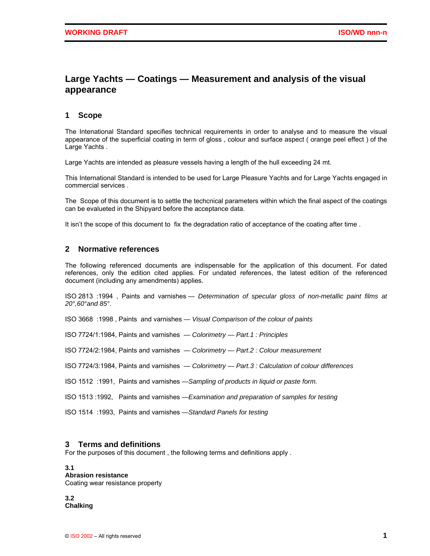# **Large Yachts — Coatings — Measurement and analysis of the visual appearance**

#### **1 Scope**

The Intenational Standard specifies technical requirements in order to analyse and to measure the visual appearance of the superficial coating in term of gloss , colour and surface aspect ( orange peel effect ) of the Large Yachts .

Large Yachts are intended as pleasure vessels having a length of the hull exceeding 24 mt.

This International Standard is intended to be used for Large Pleasure Yachts and for Large Yachts engaged in commercial services .

The Scope of this document is to settle the techcnical parameters within which the final aspect of the coatings can be evalueted in the Shipyard before the acceptance data.

It isn't the scope of this document to fix the degradation ratio of acceptance of the coating after time.

#### **2 Normative references**

The following referenced documents are indispensable for the application of this document. For dated references, only the edition cited applies. For undated references, the latest edition of the referenced document (including any amendments) applies.

ISO 2813 :1994 , Paints and varnishes *— Determination of specular gloss of non-metallic paint films at 20°,60°and 85°.*

ISO 3668 :1998 , Paints and varnishes *— Visual Comparison of the colour of paints* 

ISO 7724/1:1984, Paints and varnishes *— Colorimetry — Part.1 : Principles* 

ISO 7724/2:1984, Paints and varnishes *— Colorimetry — Part.2 : Colour measurement* 

ISO 7724/3:1984, Paints and varnishes *— Colorimetry — Part.3 : Calculation of colour differences* 

ISO 1512 :1991, Paints and varnishes *—Sampling of products in liquid or paste form.*

ISO 1513 :1992, Paints and varnishes *—Examination and preparation of samples for testing* 

ISO 1514 :1993, Paints and varnishes *—Standard Panels for testing*

#### **3 Terms and definitions**

For the purposes of this document , the following terms and definitions apply .

**3.1 Abrasion resistance**  Coating wear resistance property

**3.2 Chalking**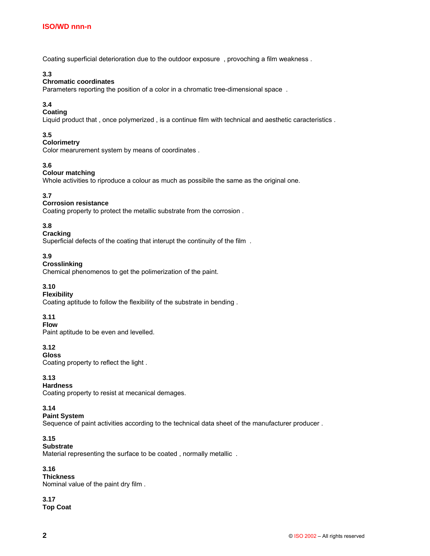Coating superficial deterioration due to the outdoor exposure , provoching a film weakness .

#### **3.3**

#### **Chromatic coordinates**

Parameters reporting the position of a color in a chromatic tree-dimensional space .

### **3.4**

#### **Coating**

Liquid product that , once polymerized , is a continue film with technical and aesthetic caracteristics .

#### **3.5**

#### **Colorimetry**

Color mearurement system by means of coordinates .

#### **3.6**

#### **Colour matching**

Whole activities to riproduce a colour as much as possibile the same as the original one.

#### **3.7**

#### **Corrosion resistance**

Coating property to protect the metallic substrate from the corrosion .

#### **3.8**

#### **Cracking**

Superficial defects of the coating that interupt the continuity of the film .

#### **3.9**

#### **Crosslinking**

Chemical phenomenos to get the polimerization of the paint.

#### **3.10**

## **Flexibility**

Coating aptitude to follow the flexibility of the substrate in bending .

#### **3.11**

#### **Flow**

Paint aptitude to be even and levelled.

# **3.12**

**Gloss**  Coating property to reflect the light .

#### **3.13**

#### **Hardness**

Coating property to resist at mecanical demages.

#### **3.14**

## **Paint System**

Sequence of paint activities according to the technical data sheet of the manufacturer producer .

# **3.15**

# **Substrate**

Material representing the surface to be coated , normally metallic .

#### **3.16**

**Thickness**  Nominal value of the paint dry film .

# **3.17**

**Top Coat**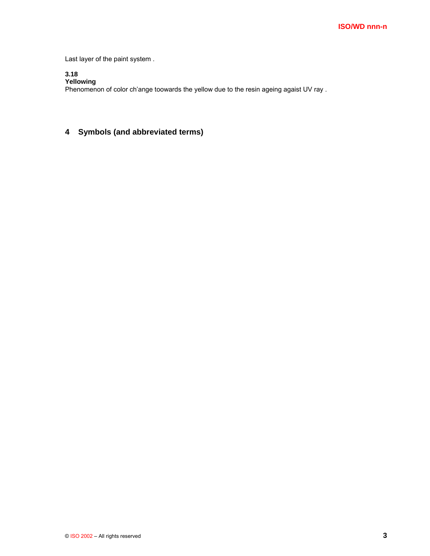Last layer of the paint system .

#### **3.18 Yellowing**

Phenomenon of color ch'ange toowards the yellow due to the resin ageing agaist UV ray .

# **4 Symbols (and abbreviated terms)**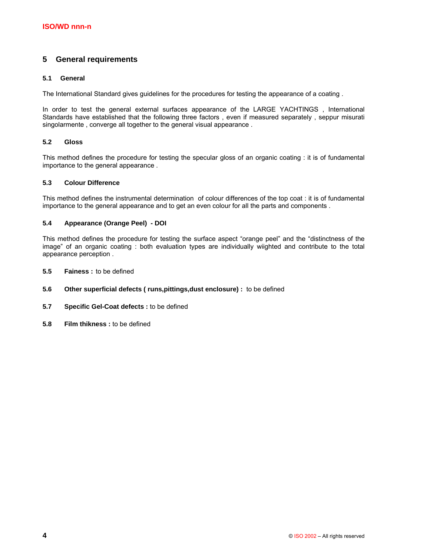# **5 General requirements**

#### **5.1 General**

The International Standard gives guidelines for the procedures for testing the appearance of a coating .

In order to test the general external surfaces appearance of the LARGE YACHTINGS , International Standards have established that the following three factors , even if measured separately , seppur misurati singolarmente , converge all together to the general visual appearance .

#### **5.2 Gloss**

This method defines the procedure for testing the specular gloss of an organic coating : it is of fundamental importance to the general appearance .

#### **5.3 Colour Difference**

This method defines the instrumental determination of colour differences of the top coat : it is of fundamental importance to the general appearance and to get an even colour for all the parts and components .

#### **5.4 Appearance (Orange Peel) - DOI**

This method defines the procedure for testing the surface aspect "orange peel" and the "distinctness of the image" of an organic coating : both evaluation types are individually wiighted and contribute to the total appearance perception .

- **5.5 Fainess :** to be defined
- **5.6 Other superficial defects ( runs,pittings,dust enclosure) :** to be defined
- **5.7 Specific Gel-Coat defects :** to be defined
- **5.8 Film thikness :** to be defined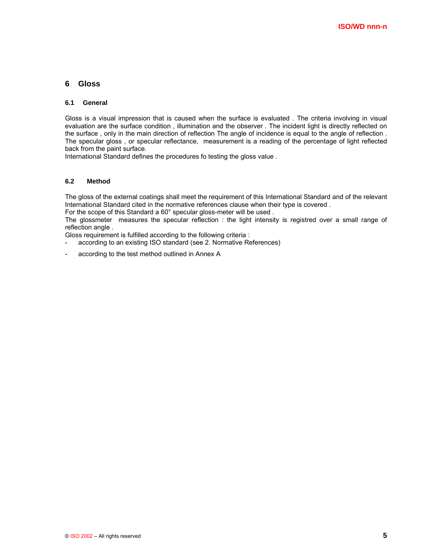#### **6 Gloss**

#### **6.1 General**

Gloss is a visual impression that is caused when the surface is evaluated . The criteria involving in visual evaluation are the surface condition , illumination and the observer . The incident light is directly reflected on the surface , only in the main direction of reflection The angle of incidence is equal to the angle of reflection . The specular gloss , or specular reflectance, measurement is a reading of the percentage of light reflected back from the paint surface.

International Standard defines the procedures fo testing the gloss value .

#### **6.2 Method**

The gloss of the external coatings shall meet the requirement of this International Standard and of the relevant International Standard cited in the normative references clause when their type is covered .

For the scope of this Standard a 60° specular gloss-meter will be used .

The glossmeter measures the specular reflection : the light intensity is registred over a small range of reflection angle .

Gloss requirement is fulfilled according to the following criteria :

- according to an existing ISO standard (see 2. Normative References)
- according to the test method outlined in Annex A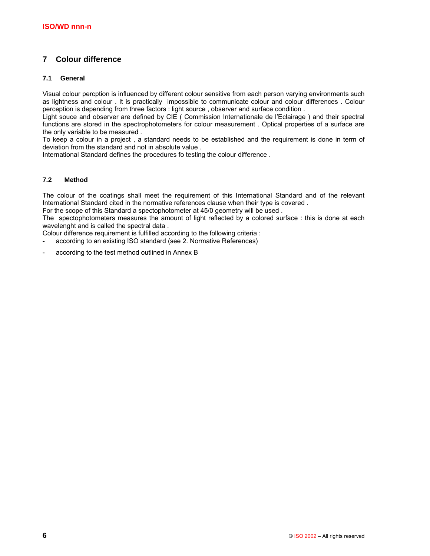# **7 Colour difference**

#### **7.1 General**

Visual colour percption is influenced by different colour sensitive from each person varying environments such as lightness and colour . It is practically impossible to communicate colour and colour differences . Colour perception is depending from three factors : light source , observer and surface condition .

Light souce and observer are defined by CIE ( Commission Internationale de l'Eclairage ) and their spectral functions are stored in the spectrophotometers for colour measurement . Optical properties of a surface are the only variable to be measured .

To keep a colour in a project , a standard needs to be established and the requirement is done in term of deviation from the standard and not in absolute value .

International Standard defines the procedures fo testing the colour difference .

#### **7.2 Method**

The colour of the coatings shall meet the requirement of this International Standard and of the relevant International Standard cited in the normative references clause when their type is covered .

For the scope of this Standard a spectophotometer at 45/0 geometry will be used.

The spectophotometers measures the amount of light reflected by a colored surface : this is done at each wavelenght and is called the spectral data .

Colour difference requirement is fulfilled according to the following criteria :

- according to an existing ISO standard (see 2. Normative References)

according to the test method outlined in Annex B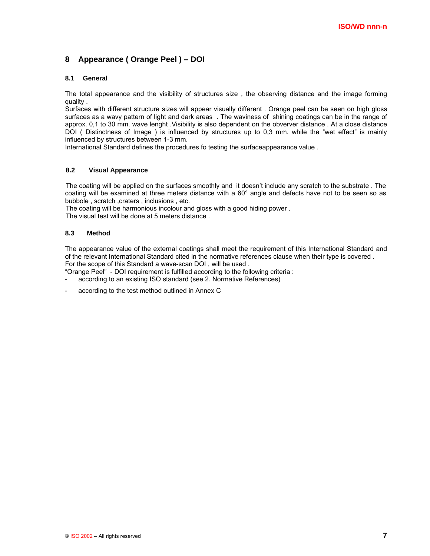# **8 Appearance ( Orange Peel ) – DOI**

#### **8.1 General**

The total appearance and the visibility of structures size , the observing distance and the image forming quality .

Surfaces with different structure sizes will appear visually different . Orange peel can be seen on high gloss surfaces as a wavy pattern of light and dark areas . The waviness of shining coatings can be in the range of approx. 0,1 to 30 mm. wave lenght .Visibility is also dependent on the obverver distance . At a close distance DOI ( Distinctness of Image ) is influenced by structures up to 0,3 mm. while the "wet effect" is mainly influenced by structures between 1-3 mm.

International Standard defines the procedures fo testing the surfaceappearance value .

#### **8.2 Visual Appearance**

The coating will be applied on the surfaces smoothly and it doesn't include any scratch to the substrate . The coating will be examined at three meters distance with a 60° angle and defects have not to be seen so as bubbole, scratch, craters, inclusions, etc.

The coating will be harmonious incolour and gloss with a good hiding power .

The visual test will be done at 5 meters distance.

#### **8.3 Method**

The appearance value of the external coatings shall meet the requirement of this International Standard and of the relevant International Standard cited in the normative references clause when their type is covered . For the scope of this Standard a wave-scan DOI , will be used .

"Orange Peel" - DOI requirement is fulfilled according to the following criteria :

- according to an existing ISO standard (see 2. Normative References)
- according to the test method outlined in Annex C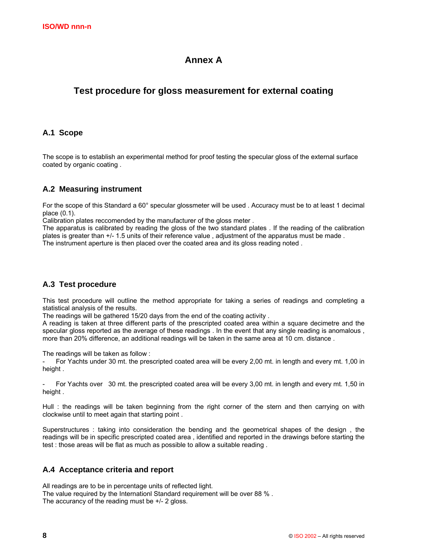# **Annex A**

# **Test procedure for gloss measurement for external coating**

# **A.1 Scope**

The scope is to establish an experimental method for proof testing the specular gloss of the external surface coated by organic coating .

# **A.2 Measuring instrument**

For the scope of this Standard a 60° specular glossmeter will be used . Accuracy must be to at least 1 decimal place (0.1).

Calibration plates reccomended by the manufacturer of the gloss meter .

The apparatus is calibrated by reading the gloss of the two standard plates . If the reading of the calibration plates is greater than +/- 1.5 units of their reference value , adjustment of the apparatus must be made . The instrument aperture is then placed over the coated area and its gloss reading noted .

# **A.3 Test procedure**

This test procedure will outline the method appropriate for taking a series of readings and completing a statistical analysis of the results.

The readings will be gathered 15/20 days from the end of the coating activity .

A reading is taken at three different parts of the prescripted coated area within a square decimetre and the specular gloss reported as the average of these readings . In the event that any single reading is anomalous , more than 20% difference, an additional readings will be taken in the same area at 10 cm. distance .

The readings will be taken as follow :

For Yachts under 30 mt. the prescripted coated area will be every 2,00 mt. in length and every mt. 1,00 in height.

For Yachts over 30 mt. the prescripted coated area will be every 3,00 mt. in length and every mt. 1,50 in height.

Hull : the readings will be taken beginning from the right corner of the stern and then carrying on with clockwise until to meet again that starting point .

Superstructures : taking into consideration the bending and the geometrical shapes of the design , the readings will be in specific prescripted coated area , identified and reported in the drawings before starting the test : those areas will be flat as much as possible to allow a suitable reading .

### **A.4 Acceptance criteria and report**

All readings are to be in percentage units of reflected light. The value required by the Internationl Standard requirement will be over 88 % . The accurancy of the reading must be +/- 2 gloss.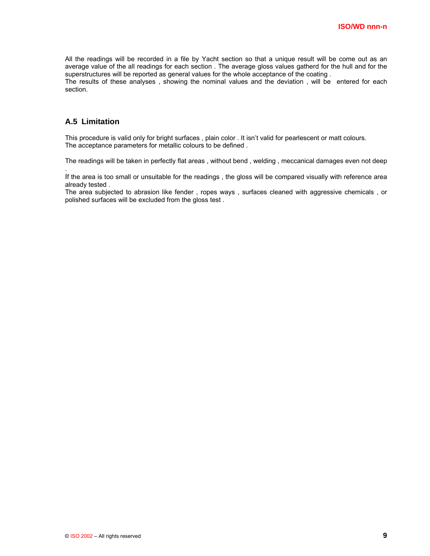All the readings will be recorded in a file by Yacht section so that a unique result will be come out as an average value of the all readings for each section . The average gloss values gatherd for the hull and for the superstructures will be reported as general values for the whole acceptance of the coating .

The results of these analyses , showing the nominal values and the deviation , will be entered for each section.

# **A.5 Limitation**

.

This procedure is valid only for bright surfaces , plain color . It isn't valid for pearlescent or matt colours. The acceptance parameters for metallic colours to be defined .

The readings will be taken in perfectly flat areas , without bend , welding , meccanical damages even not deep

If the area is too small or unsuitable for the readings , the gloss will be compared visually with reference area already tested .

The area subjected to abrasion like fender , ropes ways , surfaces cleaned with aggressive chemicals , or polished surfaces will be excluded from the gloss test .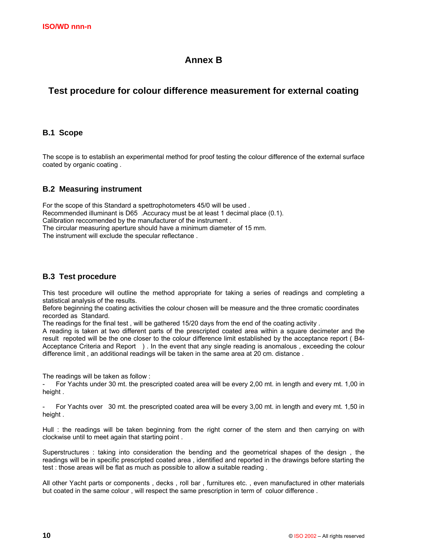# **Annex B**

# **Test procedure for colour difference measurement for external coating**

### **B.1 Scope**

The scope is to establish an experimental method for proof testing the colour difference of the external surface coated by organic coating .

# **B.2 Measuring instrument**

For the scope of this Standard a spettrophotometers 45/0 will be used . Recommended illuminant is D65 .Accuracy must be at least 1 decimal place (0.1). Calibration reccomended by the manufacturer of the instrument . The circular measuring aperture should have a minimum diameter of 15 mm. The instrument will exclude the specular reflectance .

### **B.3 Test procedure**

This test procedure will outline the method appropriate for taking a series of readings and completing a statistical analysis of the results.

Before beginning the coating activities the colour chosen will be measure and the three cromatic coordinates recorded as Standard.

The readings for the final test , will be gathered 15/20 days from the end of the coating activity .

A reading is taken at two different parts of the prescripted coated area within a square decimeter and the result repoted will be the one closer to the colour difference limit established by the acceptance report ( B4- Acceptance Criteria and Report ) . In the event that any single reading is anomalous , exceeding the colour difference limit , an additional readings will be taken in the same area at 20 cm. distance .

The readings will be taken as follow :

For Yachts under 30 mt. the prescripted coated area will be every 2,00 mt. in length and every mt. 1,00 in height.

For Yachts over 30 mt. the prescripted coated area will be every 3,00 mt. in length and every mt. 1,50 in height .

Hull : the readings will be taken beginning from the right corner of the stern and then carrying on with clockwise until to meet again that starting point .

Superstructures : taking into consideration the bending and the geometrical shapes of the design , the readings will be in specific prescripted coated area , identified and reported in the drawings before starting the test : those areas will be flat as much as possible to allow a suitable reading .

All other Yacht parts or components , decks , roll bar , furnitures etc. , even manufactured in other materials but coated in the same colour , will respect the same prescription in term of coluor difference .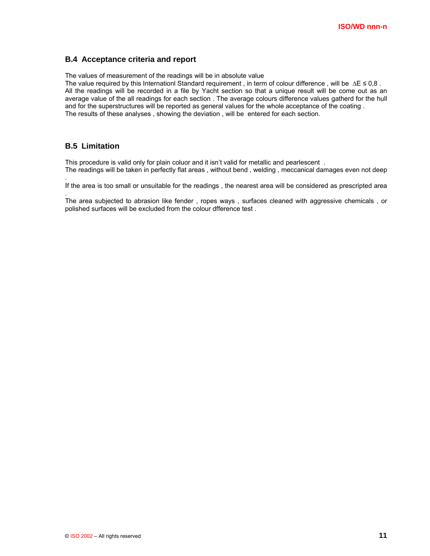#### **B.4 Acceptance criteria and report**

The values of measurement of the readings will be in absolute value

The value required by this Internationl Standard requirement , in term of colour difference , will be ∆E ≤ 0,8 . All the readings will be recorded in a file by Yacht section so that a unique result will be come out as an average value of the all readings for each section . The average colours difference values gatherd for the hull and for the superstructures will be reported as general values for the whole acceptance of the coating . The results of these analyses , showing the deviation , will be entered for each section.

### **B.5 Limitation**

.

.

This procedure is valid only for plain coluor and it isn't valid for metallic and pearlescent . The readings will be taken in perfectly flat areas , without bend , welding , meccanical damages even not deep

If the area is too small or unsuitable for the readings , the nearest area will be considered as prescripted area

The area subjected to abrasion like fender , ropes ways , surfaces cleaned with aggressive chemicals , or polished surfaces will be excluded from the colour dfference test .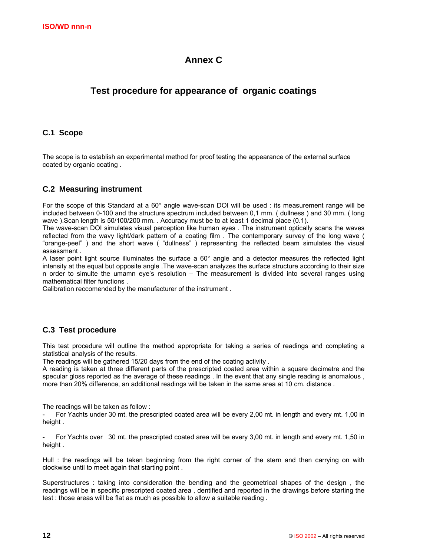# **Annex C**

# **Test procedure for appearance of organic coatings**

## **C.1 Scope**

The scope is to establish an experimental method for proof testing the appearance of the external surface coated by organic coating .

### **C.2 Measuring instrument**

For the scope of this Standard at a 60° angle wave-scan DOI will be used : its measurement range will be included between 0-100 and the structure spectrum included between 0,1 mm. ( dullness ) and 30 mm. ( long wave ).Scan length is 50/100/200 mm. . Accuracy must be to at least 1 decimal place (0.1).

The wave-scan DOI simulates visual perception like human eyes . The instrument optically scans the waves reflected from the wavy light/dark pattern of a coating film . The contemporary survey of the long wave ( "orange-peel" ) and the short wave ( "dullness" ) representing the reflected beam simulates the visual assessment .

A laser point light source illuminates the surface a 60° angle and a detector measures the reflected light intensity at the equal but opposite angle .The wave-scan analyzes the surface structure according to their size n order to simulte the umamn eye's resolution – The measurement is divided into several ranges using mathematical filter functions .

Calibration reccomended by the manufacturer of the instrument .

### **C.3 Test procedure**

This test procedure will outline the method appropriate for taking a series of readings and completing a statistical analysis of the results.

The readings will be gathered 15/20 days from the end of the coating activity .

A reading is taken at three different parts of the prescripted coated area within a square decimetre and the specular gloss reported as the average of these readings . In the event that any single reading is anomalous , more than 20% difference, an additional readings will be taken in the same area at 10 cm. distance .

The readings will be taken as follow :

For Yachts under 30 mt. the prescripted coated area will be every 2,00 mt. in length and every mt. 1,00 in height.

For Yachts over 30 mt. the prescripted coated area will be every 3,00 mt. in length and every mt. 1,50 in height .

Hull : the readings will be taken beginning from the right corner of the stern and then carrying on with clockwise until to meet again that starting point .

Superstructures : taking into consideration the bending and the geometrical shapes of the design , the readings will be in specific prescripted coated area , dentified and reported in the drawings before starting the test : those areas will be flat as much as possible to allow a suitable reading .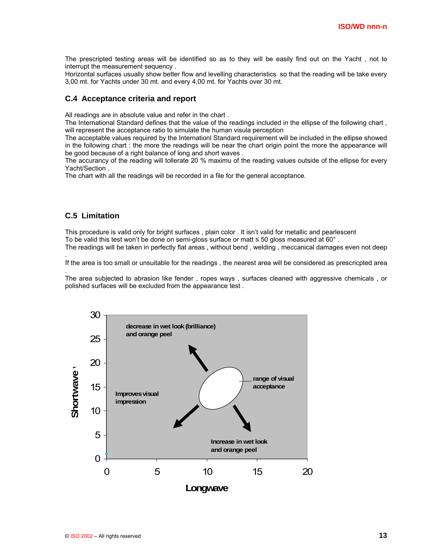The prescripted testing areas will be identified so as to they will be easily find out on the Yacht , not to interrupt the measurement sequency .

Horizontal surfaces usually show better flow and levelling characteristics so that the reading will be take every 3,00 mt. for Yachts under 30 mt. and every 4,00 mt. for Yachts over 30 mt.

#### **C.4 Acceptance criteria and report**

All readings are in absolute value and refer in the chart .

The International Standard defines that the value of the readings included in the ellipse of the following chart , will represent the acceptance ratio to simulate the human visula perception

The acceptable values required by the Internationl Standard requirement will be included in the ellipse showed in the following chart : the more the readings will be near the chart origin point the more the appearance will be good because of a right balance of long and short waves .

The accurancy of the reading will tollerate 20 % maximu of the reading values outside of the ellipse for every Yacht/Section .

The chart with all the readings will be recorded in a file for the general acceptance.

### **C.5 Limitation**

.

.

This procedure is valid only for bright surfaces , plain color . It isn't valid for metallic and pearlescent To be valid this test won't be done on semi-gloss surface or matt ≤ 50 gloss measured at 60° . The readings will be taken in perfectly flat areas , without bend , welding , meccanical damages even not deep

If the area is too small or unsuitable for the readings , the nearest area will be considered as prescricpted area

The area subjected to abrasion like fender , ropes ways , surfaces cleaned with aggressive chemicals , or polished surfaces will be excluded from the appearance test .

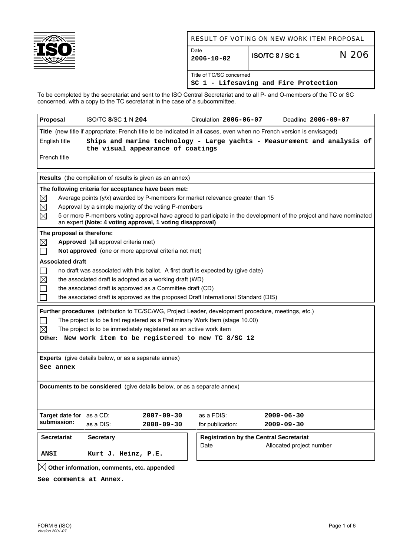

## RESULT OF VOTING ON NEW WORK ITEM PROPOSAL

| Date<br>$12006 - 10 - 02$ | ISO/TC 8 / SC 1                       | N 206 |
|---------------------------|---------------------------------------|-------|
| Title of TC/SC concerned  | SC 1 - Lifesaving and Fire Protection |       |

To be completed by the secretariat and sent to the ISO Central Secretariat and to all P- and O-members of the TC or SC concerned, with a copy to the TC secretariat in the case of a subcommittee.

| Proposal                                                                                                                       | <b>ISO/TC 8/SC 1 N 204</b>                                                                                                                                                       |                                                                                                     | Circulation 2006-06-07                         |  | Deadline 2006-09-07      |  |  |  |  |  |
|--------------------------------------------------------------------------------------------------------------------------------|----------------------------------------------------------------------------------------------------------------------------------------------------------------------------------|-----------------------------------------------------------------------------------------------------|------------------------------------------------|--|--------------------------|--|--|--|--|--|
| Title (new title if appropriate; French title to be indicated in all cases, even when no French version is envisaged)          |                                                                                                                                                                                  |                                                                                                     |                                                |  |                          |  |  |  |  |  |
| English title<br>Ships and marine technology - Large yachts - Measurement and analysis of<br>the visual appearance of coatings |                                                                                                                                                                                  |                                                                                                     |                                                |  |                          |  |  |  |  |  |
| French title                                                                                                                   |                                                                                                                                                                                  |                                                                                                     |                                                |  |                          |  |  |  |  |  |
| <b>Results</b> (the compilation of results is given as an annex)                                                               |                                                                                                                                                                                  |                                                                                                     |                                                |  |                          |  |  |  |  |  |
|                                                                                                                                | The following criteria for acceptance have been met:                                                                                                                             |                                                                                                     |                                                |  |                          |  |  |  |  |  |
| $\boxtimes$<br>Average points $(y/x)$ awarded by P-members for market relevance greater than 15                                |                                                                                                                                                                                  |                                                                                                     |                                                |  |                          |  |  |  |  |  |
| $\boxtimes$                                                                                                                    | Approval by a simple majority of the voting P-members                                                                                                                            |                                                                                                     |                                                |  |                          |  |  |  |  |  |
| $\boxtimes$                                                                                                                    | 5 or more P-members voting approval have agreed to participate in the development of the project and have nominated<br>an expert (Note: 4 voting approval, 1 voting disapproval) |                                                                                                     |                                                |  |                          |  |  |  |  |  |
| The proposal is therefore:                                                                                                     |                                                                                                                                                                                  |                                                                                                     |                                                |  |                          |  |  |  |  |  |
| $\boxtimes$                                                                                                                    | Approved (all approval criteria met)                                                                                                                                             |                                                                                                     |                                                |  |                          |  |  |  |  |  |
|                                                                                                                                |                                                                                                                                                                                  | Not approved (one or more approval criteria not met)                                                |                                                |  |                          |  |  |  |  |  |
| <b>Associated draft</b>                                                                                                        |                                                                                                                                                                                  |                                                                                                     |                                                |  |                          |  |  |  |  |  |
|                                                                                                                                |                                                                                                                                                                                  | no draft was associated with this ballot. A first draft is expected by (give date)                  |                                                |  |                          |  |  |  |  |  |
| $\times$                                                                                                                       |                                                                                                                                                                                  | the associated draft is adopted as a working draft (WD)                                             |                                                |  |                          |  |  |  |  |  |
|                                                                                                                                |                                                                                                                                                                                  | the associated draft is approved as a Committee draft (CD)                                          |                                                |  |                          |  |  |  |  |  |
|                                                                                                                                |                                                                                                                                                                                  | the associated draft is approved as the proposed Draft International Standard (DIS)                 |                                                |  |                          |  |  |  |  |  |
|                                                                                                                                |                                                                                                                                                                                  | Further procedures (attribution to TC/SC/WG, Project Leader, development procedure, meetings, etc.) |                                                |  |                          |  |  |  |  |  |
|                                                                                                                                |                                                                                                                                                                                  | The project is to be first registered as a Preliminary Work Item (stage 10.00)                      |                                                |  |                          |  |  |  |  |  |
| $\bowtie$                                                                                                                      |                                                                                                                                                                                  | The project is to be immediately registered as an active work item                                  |                                                |  |                          |  |  |  |  |  |
|                                                                                                                                |                                                                                                                                                                                  | Other: New work item to be registered to new TC 8/SC 12                                             |                                                |  |                          |  |  |  |  |  |
|                                                                                                                                |                                                                                                                                                                                  |                                                                                                     |                                                |  |                          |  |  |  |  |  |
|                                                                                                                                | <b>Experts</b> (give details below, or as a separate annex)                                                                                                                      |                                                                                                     |                                                |  |                          |  |  |  |  |  |
| See annex                                                                                                                      |                                                                                                                                                                                  |                                                                                                     |                                                |  |                          |  |  |  |  |  |
|                                                                                                                                |                                                                                                                                                                                  |                                                                                                     |                                                |  |                          |  |  |  |  |  |
|                                                                                                                                |                                                                                                                                                                                  | Documents to be considered (give details below, or as a separate annex)                             |                                                |  |                          |  |  |  |  |  |
|                                                                                                                                |                                                                                                                                                                                  |                                                                                                     |                                                |  |                          |  |  |  |  |  |
|                                                                                                                                |                                                                                                                                                                                  |                                                                                                     |                                                |  |                          |  |  |  |  |  |
| Target date for as a CD:                                                                                                       |                                                                                                                                                                                  | 2007-09-30                                                                                          | as a FDIS:                                     |  | $2009 - 06 - 30$         |  |  |  |  |  |
| submission:                                                                                                                    | as a DIS:                                                                                                                                                                        | $2008 - 09 - 30$                                                                                    | for publication:                               |  | $2009 - 09 - 30$         |  |  |  |  |  |
| <b>Secretariat</b>                                                                                                             | <b>Secretary</b>                                                                                                                                                                 |                                                                                                     | <b>Registration by the Central Secretariat</b> |  |                          |  |  |  |  |  |
|                                                                                                                                |                                                                                                                                                                                  |                                                                                                     | Date                                           |  | Allocated project number |  |  |  |  |  |
| <b>ANSI</b>                                                                                                                    | Kurt J. Heinz, P.E.                                                                                                                                                              |                                                                                                     |                                                |  |                          |  |  |  |  |  |
|                                                                                                                                | Other information, comments, etc. appended                                                                                                                                       |                                                                                                     |                                                |  |                          |  |  |  |  |  |

**See comments at Annex.**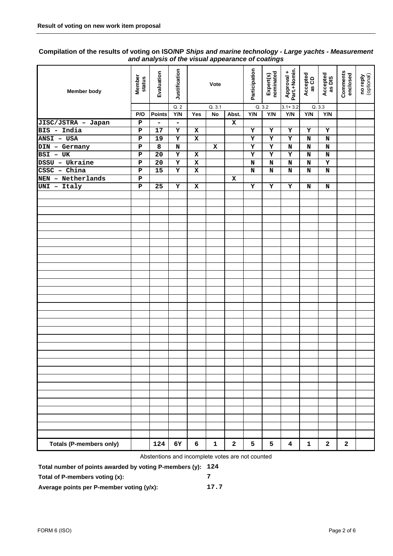### **Compilation of the results of voting on ISO/NP** *Ships and marine technology - Large yachts - Measurement and analysis of the visual appearance of coatings*

| Member body                       | Member<br>status | Evaluation                         | Justification |             | Vote         |                | Participation | Expert(s)<br>nominated | Approval +<br>Part.+Nomin. | Accepted<br>as CD | Accepted<br>as DIS | Comments<br>enclosed | no reply<br>(optional) |
|-----------------------------------|------------------|------------------------------------|---------------|-------------|--------------|----------------|---------------|------------------------|----------------------------|-------------------|--------------------|----------------------|------------------------|
|                                   |                  |                                    | Q.2           |             | Q.3.1        |                |               | Q.3.2                  | $3.1 + 3.2$                |                   | Q.3.3              |                      |                        |
|                                   | P/O              | <b>Points</b>                      | Y/N           | Yes         | No           | Abst.          | Y/N           | Y/N                    | Y/N                        | Y/N               | Y/N                |                      |                        |
| JISC/JSTRA - Japan<br>BIS - India | Р<br>P           | $\qquad \qquad \blacksquare$<br>17 | -<br>Y        | x           |              | $\mathbf x$    | Υ             | Y                      | $\mathbf x$                | Y                 | Y                  |                      |                        |
| ANSI - USA                        | ${\bf P}$        | 19                                 | Y             | x           |              |                | Y             | Y                      | Y                          | N                 | N                  |                      |                        |
| DIN - Germany                     | ${\bf P}$        | 8                                  | N             |             | x            |                | Y             | Y                      | N                          | N                 | N                  |                      |                        |
| BSI - UK                          | ${\bf P}$        | 20                                 | Υ             | x           |              |                | Y             | Y                      | Y                          | N                 | N                  |                      |                        |
| DSSU - Ukraine                    | ${\bf P}$        | 20                                 | $\mathbf x$   | x           |              |                | N             | N                      | $\mathbf N$                | $\mathbf N$       | Y                  |                      |                        |
| CSSC - China                      | $\, {\bf P}$     | 15                                 | Υ             | $\mathbf x$ |              |                | N             | N                      | $\mathbf N$                | N                 | $\mathbf N$        |                      |                        |
| NEN - Netherlands                 | ${\bf P}$        |                                    |               |             |              | x              |               |                        |                            |                   |                    |                      |                        |
| UNI - Italy                       | ${\bf P}$        | 25                                 | Υ             | x           |              |                | Y             | Υ                      | Y                          | N                 | N                  |                      |                        |
|                                   |                  |                                    |               |             |              |                |               |                        |                            |                   |                    |                      |                        |
|                                   |                  |                                    |               |             |              |                |               |                        |                            |                   |                    |                      |                        |
|                                   |                  |                                    |               |             |              |                |               |                        |                            |                   |                    |                      |                        |
|                                   |                  |                                    |               |             |              |                |               |                        |                            |                   |                    |                      |                        |
|                                   |                  |                                    |               |             |              |                |               |                        |                            |                   |                    |                      |                        |
|                                   |                  |                                    |               |             |              |                |               |                        |                            |                   |                    |                      |                        |
|                                   |                  |                                    |               |             |              |                |               |                        |                            |                   |                    |                      |                        |
|                                   |                  |                                    |               |             |              |                |               |                        |                            |                   |                    |                      |                        |
|                                   |                  |                                    |               |             |              |                |               |                        |                            |                   |                    |                      |                        |
|                                   |                  |                                    |               |             |              |                |               |                        |                            |                   |                    |                      |                        |
|                                   |                  |                                    |               |             |              |                |               |                        |                            |                   |                    |                      |                        |
|                                   |                  |                                    |               |             |              |                |               |                        |                            |                   |                    |                      |                        |
|                                   |                  |                                    |               |             |              |                |               |                        |                            |                   |                    |                      |                        |
|                                   |                  |                                    |               |             |              |                |               |                        |                            |                   |                    |                      |                        |
|                                   |                  |                                    |               |             |              |                |               |                        |                            |                   |                    |                      |                        |
|                                   |                  |                                    |               |             |              |                |               |                        |                            |                   |                    |                      |                        |
|                                   |                  |                                    |               |             |              |                |               |                        |                            |                   |                    |                      |                        |
|                                   |                  |                                    |               |             |              |                |               |                        |                            |                   |                    |                      |                        |
|                                   |                  |                                    |               |             |              |                |               |                        |                            |                   |                    |                      |                        |
|                                   |                  |                                    |               |             |              |                |               |                        |                            |                   |                    |                      |                        |
|                                   |                  |                                    |               |             |              |                |               |                        |                            |                   |                    |                      |                        |
|                                   |                  |                                    |               |             |              |                |               |                        |                            |                   |                    |                      |                        |
|                                   |                  |                                    |               |             |              |                |               |                        |                            |                   |                    |                      |                        |
|                                   |                  |                                    |               |             |              |                |               |                        |                            |                   |                    |                      |                        |
|                                   |                  |                                    |               |             |              |                |               |                        |                            |                   |                    |                      |                        |
|                                   |                  |                                    |               |             |              |                |               |                        |                            |                   |                    |                      |                        |
|                                   |                  |                                    |               |             |              |                |               |                        |                            |                   |                    |                      |                        |
|                                   |                  |                                    |               |             |              |                |               |                        |                            |                   |                    |                      |                        |
|                                   |                  |                                    |               |             |              |                |               |                        |                            |                   |                    |                      |                        |
|                                   |                  |                                    |               |             |              |                |               |                        |                            |                   |                    |                      |                        |
| <b>Totals (P-members only)</b>    |                  | 124                                | 6Y            | 6           | $\mathbf{1}$ | $\overline{a}$ | 5             | 5                      | $\overline{\mathbf{4}}$    | $\mathbf{1}$      | $\mathbf{2}$       | $\mathbf 2$          |                        |

Abstentions and incomplete votes are not counted

**Total number of points awarded by voting P-members (y): 124** 

**Total of P-members voting (x): 7** 

**Average points per P-member voting (y/x): 17.7**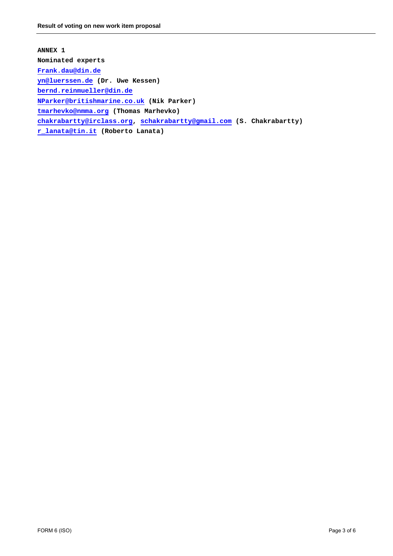**ANNEX 1 Nominated experts Frank.dau@din.de yn@luerssen.de (Dr. Uwe Kessen) bernd.reinmueller@din.de NParker@britishmarine.co.uk (Nik Parker) tmarhevko@nmma.org (Thomas Marhevko) chakrabartty@irclass.org, schakrabartty@gmail.com (S. Chakrabartty) r\_lanata@tin.it (Roberto Lanata)**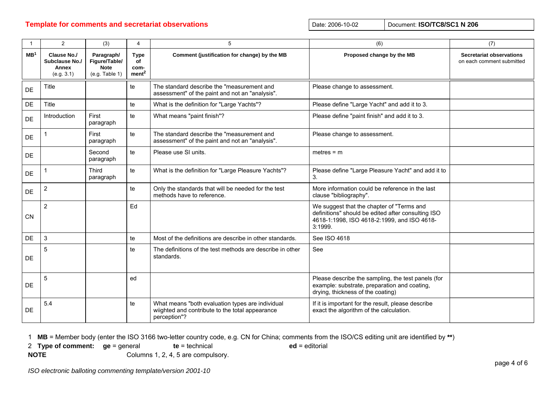# **Template for comments and secretariat observations Date: 2006-10-02** Date: 2006-10-02 Document: ISO/TC8/SC1 N 206

| $\mathbf{1}$    | $\overline{2}$                                       | (3)                                                          | 4                                              | 5                                                                                                                   | (6)                                                                                                                                                       | (7)                                                          |
|-----------------|------------------------------------------------------|--------------------------------------------------------------|------------------------------------------------|---------------------------------------------------------------------------------------------------------------------|-----------------------------------------------------------------------------------------------------------------------------------------------------------|--------------------------------------------------------------|
| MB <sup>1</sup> | Clause No./<br>Subclause No./<br>Annex<br>(e.g. 3.1) | Paragraph/<br>Figure/Table/<br><b>Note</b><br>(e.g. Table 1) | <b>Type</b><br>of<br>com-<br>ment <sup>2</sup> | Comment (justification for change) by the MB                                                                        | Proposed change by the MB                                                                                                                                 | <b>Secretariat observations</b><br>on each comment submitted |
| DE              | Title                                                |                                                              | te                                             | The standard describe the "measurement and<br>assessment" of the paint and not an "analysis".                       | Please change to assessment.                                                                                                                              |                                                              |
| DE              | Title                                                |                                                              | te                                             | What is the definition for "Large Yachts"?                                                                          | Please define "Large Yacht" and add it to 3.                                                                                                              |                                                              |
| DE              | Introduction                                         | First<br>paragraph                                           | te                                             | What means "paint finish"?                                                                                          | Please define "paint finish" and add it to 3.                                                                                                             |                                                              |
| DE              |                                                      | First<br>paragraph                                           | te                                             | The standard describe the "measurement and<br>assessment" of the paint and not an "analysis".                       | Please change to assessment.                                                                                                                              |                                                              |
| DE              |                                                      | Second<br>paragraph                                          | te                                             | Please use SI units.                                                                                                | $meters = m$                                                                                                                                              |                                                              |
| DE              |                                                      | <b>Third</b><br>paragraph                                    | te                                             | What is the definition for "Large Pleasure Yachts"?                                                                 | Please define "Large Pleasure Yacht" and add it to<br>3.                                                                                                  |                                                              |
| DE              | $\overline{2}$                                       |                                                              | te                                             | Only the standards that will be needed for the test<br>methods have to reference.                                   | More information could be reference in the last<br>clause "bibliography".                                                                                 |                                                              |
| CN              | $\overline{2}$                                       |                                                              | Ed                                             |                                                                                                                     | We suggest that the chapter of "Terms and<br>definitions" should be edited after consulting ISO<br>4618-1:1998, ISO 4618-2:1999, and ISO 4618-<br>3:1999. |                                                              |
| DE              | $\mathbf{3}$                                         |                                                              | te                                             | Most of the definitions are describe in other standards.                                                            | See ISO 4618                                                                                                                                              |                                                              |
| DE              | 5                                                    |                                                              | te                                             | The definitions of the test methods are describe in other<br>standards.                                             | See                                                                                                                                                       |                                                              |
| <b>DE</b>       | 5                                                    |                                                              | ed                                             |                                                                                                                     | Please describe the sampling, the test panels (for<br>example: substrate, preparation and coating,<br>drying, thickness of the coating)                   |                                                              |
| <b>DE</b>       | 5.4                                                  |                                                              | te                                             | What means "both evaluation types are individual<br>wiighted and contribute to the total appearance<br>perception"? | If it is important for the result, please describe<br>exact the algorithm of the calculation.                                                             |                                                              |

1 **MB** = Member body (enter the ISO 3166 two-letter country code, e.g. CN for China; comments from the ISO/CS editing unit are identified by **\*\***)

2 **Type of comment: ge** = general **te** = technical **ed** = editorial

**NOTE** Columns 1, 2, 4, 5 are compulsory.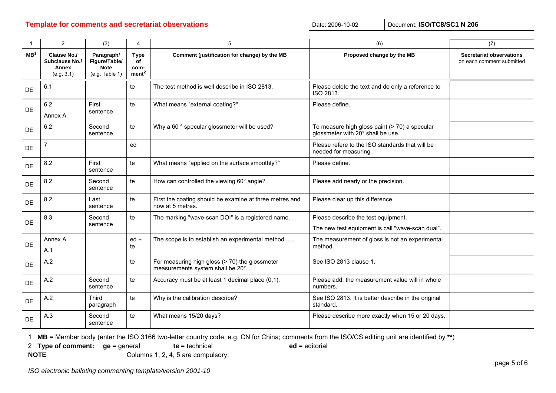# **Template for comments and secretariat observations Date: 2006-10-02** Date: 2006-10-02 Document: ISO/TC8/SC1 N 206

| $\overline{1}$  | $\overline{2}$                                              | (3)                                                          | 4                                              | 5                                                                                   | (6)                                                                                | (7)                                                          |
|-----------------|-------------------------------------------------------------|--------------------------------------------------------------|------------------------------------------------|-------------------------------------------------------------------------------------|------------------------------------------------------------------------------------|--------------------------------------------------------------|
| MB <sup>1</sup> | <b>Clause No./</b><br>Subclause No./<br>Annex<br>(e.g. 3.1) | Paragraph/<br>Figure/Table/<br><b>Note</b><br>(e.g. Table 1) | <b>Type</b><br>of<br>com-<br>ment <sup>2</sup> | Comment (justification for change) by the MB                                        | Proposed change by the MB                                                          | <b>Secretariat observations</b><br>on each comment submitted |
| DE              | 6.1                                                         |                                                              | te                                             | The test method is well describe in ISO 2813.                                       | Please delete the text and do only a reference to<br>ISO 2813.                     |                                                              |
| DE              | 6.2<br>Annex A                                              | First<br>sentence                                            | te                                             | What means "external coating?"                                                      | Please define.                                                                     |                                                              |
| DE              | 6.2                                                         | Second<br>sentence                                           | te                                             | Why a 60 ° specular glossmeter will be used?                                        | To measure high gloss paint (> 70) a specular<br>glossmeter with 20° shall be use. |                                                              |
| <b>DE</b>       | $\overline{7}$                                              |                                                              | ed                                             |                                                                                     | Please refere to the ISO standards that will be<br>needed for measuring.           |                                                              |
| DE              | 8.2                                                         | First<br>sentence                                            | te                                             | What means "applied on the surface smoothly?"                                       | Please define.                                                                     |                                                              |
| DE              | 8.2                                                         | Second<br>sentence                                           | te                                             | How can controlled the viewing 60° angle?                                           | Please add nearly or the precision.                                                |                                                              |
| DE              | 8.2                                                         | Last<br>sentence                                             | te                                             | First the coating should be examine at three metres and<br>now at 5 metres.         | Please clear up this difference.                                                   |                                                              |
| DE              | 8.3                                                         | Second                                                       | te                                             | The marking "wave-scan DOI" is a registered name.                                   | Please describe the test equipment.                                                |                                                              |
|                 |                                                             | sentence                                                     |                                                |                                                                                     | The new test equipment is call "wave-scan dual".                                   |                                                              |
| DE              | Annex A                                                     |                                                              | $ed +$<br>te                                   | The scope is to establish an experimental method                                    | The measurement of gloss is not an experimental<br>method.                         |                                                              |
|                 | A.1                                                         |                                                              |                                                |                                                                                     |                                                                                    |                                                              |
| DE              | A.2                                                         |                                                              | te                                             | For measuring high gloss (> 70) the glossmeter<br>measurements system shall be 20°. | See ISO 2813 clause 1.                                                             |                                                              |
| DE              | A.2                                                         | Second<br>sentence                                           | te                                             | Accuracy must be at least 1 decimal place (0,1).                                    | Please add: the measurement value will in whole<br>numbers.                        |                                                              |
| <b>DE</b>       | A.2                                                         | <b>Third</b><br>paragraph                                    | te                                             | Why is the calibration describe?                                                    | See ISO 2813. It is better describe in the original<br>standard.                   |                                                              |
| DE              | A.3                                                         | Second<br>sentence                                           | te                                             | What means 15/20 days?                                                              | Please describe more exactly when 15 or 20 days.                                   |                                                              |

1 **MB** = Member body (enter the ISO 3166 two-letter country code, e.g. CN for China; comments from the ISO/CS editing unit are identified by **\*\***)

2 **Type of comment: ge** = general **te** = technical **ed** = editorial

**NOTE** Columns 1, 2, 4, 5 are compulsory.